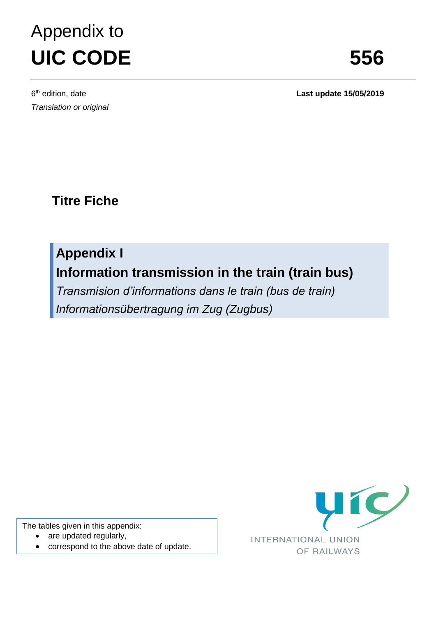## Appendix to **UIC CODE 556**

Last update 15/05/2019

**Titre Fiche**

**Appendix I Information transmission in the train (train bus)**

*Transmision d'informations dans le train (bus de train) Informationsübertragung im Zug (Zugbus)*

The tables given in this appendix:

- are updated regularly,
- correspond to the above date of update.

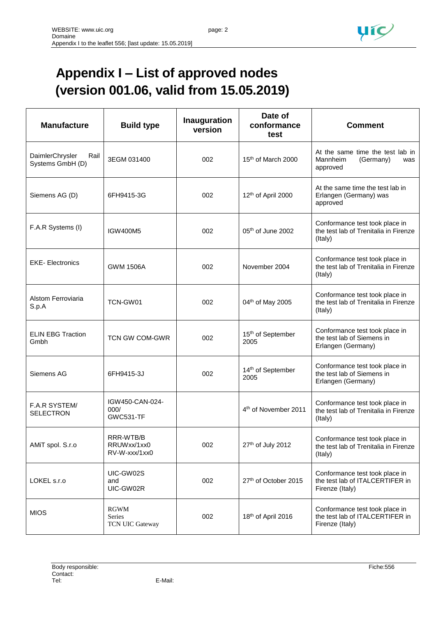

## **Appendix I – List of approved nodes (version 001.06, valid from 15.05.2019)**

| <b>Manufacture</b>                          | <b>Build type</b>                           | <b>Inauguration</b><br>version | Date of<br>conformance<br>test        | <b>Comment</b>                                                                       |
|---------------------------------------------|---------------------------------------------|--------------------------------|---------------------------------------|--------------------------------------------------------------------------------------|
| DaimlerChrysler<br>Rail<br>Systems GmbH (D) | 3EGM 031400                                 | 002                            | 15th of March 2000                    | At the same time the test lab in<br>Mannheim<br>(Germany)<br>was<br>approved         |
| Siemens AG (D)                              | 6FH9415-3G                                  | 002                            | 12th of April 2000                    | At the same time the test lab in<br>Erlangen (Germany) was<br>approved               |
| F.A.R Systems (I)                           | <b>IGW400M5</b>                             | 002                            | 05th of June 2002                     | Conformance test took place in<br>the test lab of Trenitalia in Firenze<br>(Italy)   |
| <b>EKE-Electronics</b>                      | <b>GWM 1506A</b>                            | 002                            | November 2004                         | Conformance test took place in<br>the test lab of Trenitalia in Firenze<br>(Italy)   |
| Alstom Ferroviaria<br>S.p.A                 | TCN-GW01                                    | 002                            | 04th of May 2005                      | Conformance test took place in<br>the test lab of Trenitalia in Firenze<br>(Italy)   |
| <b>ELIN EBG Traction</b><br>Gmbh            | <b>TCN GW COM-GWR</b>                       | 002                            | 15 <sup>th</sup> of September<br>2005 | Conformance test took place in<br>the test lab of Siemens in<br>Erlangen (Germany)   |
| Siemens AG                                  | 6FH9415-3J                                  | 002                            | 14th of September<br>2005             | Conformance test took place in<br>the test lab of Siemens in<br>Erlangen (Germany)   |
| F.A.R SYSTEM/<br><b>SELECTRON</b>           | IGW450-CAN-024-<br>000/<br><b>GWC531-TF</b> |                                | 4 <sup>th</sup> of November 2011      | Conformance test took place in<br>the test lab of Trenitalia in Firenze<br>(Italy)   |
| AMiT spol. S.r.o                            | RRR-WTB/B<br>RRUWxx/1xx0<br>RV-W-xxx/1xx0   | 002                            | 27th of July 2012                     | Conformance test took place in<br>the test lab of Trenitalia in Firenze<br>(Italy)   |
| LOKEL s.r.o                                 | UIC-GW02S<br>and<br>UIC-GW02R               | 002                            | 27th of October 2015                  | Conformance test took place in<br>the test lab of ITALCERTIFER in<br>Firenze (Italy) |
| <b>MIOS</b>                                 | <b>RGWM</b><br>Series<br>TCN UIC Gateway    | 002                            | 18th of April 2016                    | Conformance test took place in<br>the test lab of ITALCERTIFER in<br>Firenze (Italy) |